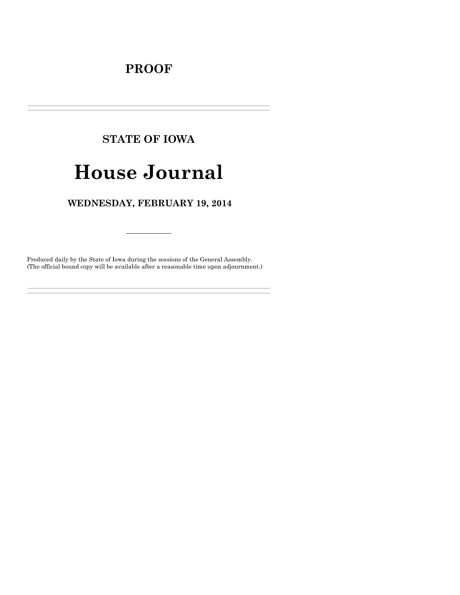## **PROOF**

# **STATE OF IOWA**

# **House Journal**

### WEDNESDAY, FEBRUARY 19, 2014

Produced daily by the State of Iowa during the sessions of the General Assembly. (The official bound copy will be available after a reasonable time upon adjournment.)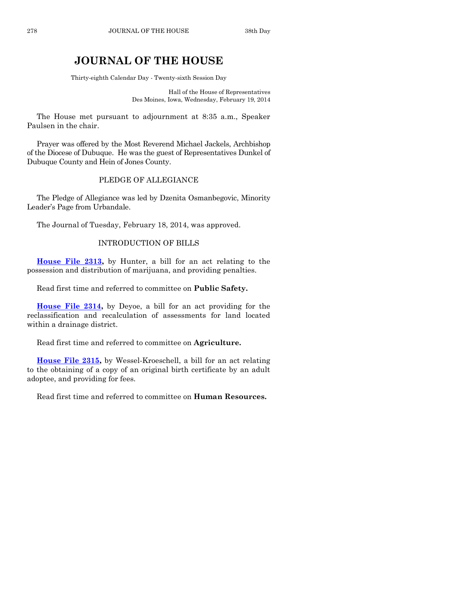## **JOURNAL OF THE HOUSE**

Thirty-eighth Calendar Day - Twenty-sixth Session Day

Hall of the House of Representatives Des Moines, Iowa, Wednesday, February 19, 2014

The House met pursuant to adjournment at 8:35 a.m., Speaker Paulsen in the chair.

Prayer was offered by the Most Reverend Michael Jackels, Archbishop of the Diocese of Dubuque. He was the guest of Representatives Dunkel of Dubuque County and Hein of Jones County.

#### PLEDGE OF ALLEGIANCE

The Pledge of Allegiance was led by Dzenita Osmanbegovic, Minority Leader's Page from Urbandale.

The Journal of Tuesday, February 18, 2014, was approved.

#### INTRODUCTION OF BILLS

**[House File 2313,](http://coolice.legis.iowa.gov/Cool-ICE/default.asp?Category=billinfo&Service=Billbook&frame=1&GA=85&hbill=HF2313)** by Hunter, a bill for an act relating to the possession and distribution of marijuana, and providing penalties.

Read first time and referred to committee on **Public Safety.**

**House [File 2314,](http://coolice.legis.iowa.gov/Cool-ICE/default.asp?Category=billinfo&Service=Billbook&frame=1&GA=85&hbill=HF2314)** by Deyoe, a bill for an act providing for the reclassification and recalculation of assessments for land located within a drainage district.

Read first time and referred to committee on **Agriculture.**

**[House File 2315,](http://coolice.legis.iowa.gov/Cool-ICE/default.asp?Category=billinfo&Service=Billbook&frame=1&GA=85&hbill=HF2315)** by Wessel-Kroeschell, a bill for an act relating to the obtaining of a copy of an original birth certificate by an adult adoptee, and providing for fees.

Read first time and referred to committee on **Human Resources.**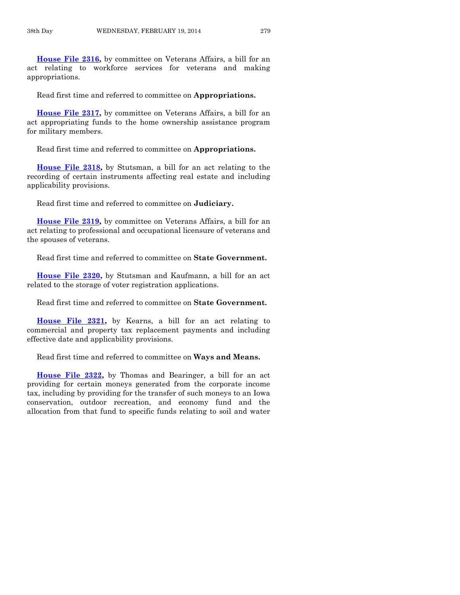**[House File 2316,](http://coolice.legis.iowa.gov/Cool-ICE/default.asp?Category=billinfo&Service=Billbook&frame=1&GA=85&hbill=HF2316)** by committee on Veterans Affairs, a bill for an act relating to workforce services for veterans and making appropriations.

Read first time and referred to committee on **Appropriations.**

**[House File 2317,](http://coolice.legis.iowa.gov/Cool-ICE/default.asp?Category=billinfo&Service=Billbook&frame=1&GA=85&hbill=HF2317)** by committee on Veterans Affairs, a bill for an act appropriating funds to the home ownership assistance program for military members.

Read first time and referred to committee on **Appropriations.**

**[House File 2318,](http://coolice.legis.iowa.gov/Cool-ICE/default.asp?Category=billinfo&Service=Billbook&frame=1&GA=85&hbill=HF2318)** by Stutsman, a bill for an act relating to the recording of certain instruments affecting real estate and including applicability provisions.

Read first time and referred to committee on **Judiciary.**

**[House File 2319,](http://coolice.legis.iowa.gov/Cool-ICE/default.asp?Category=billinfo&Service=Billbook&frame=1&GA=85&hbill=HF2319)** by committee on Veterans Affairs, a bill for an act relating to professional and occupational licensure of veterans and the spouses of veterans.

Read first time and referred to committee on **State Government.**

**[House File 2320,](http://coolice.legis.iowa.gov/Cool-ICE/default.asp?Category=billinfo&Service=Billbook&frame=1&GA=85&hbill=HF2320)** by Stutsman and Kaufmann, a bill for an act related to the storage of voter registration applications.

Read first time and referred to committee on **State Government.**

**[House File 2321,](http://coolice.legis.iowa.gov/Cool-ICE/default.asp?Category=billinfo&Service=Billbook&frame=1&GA=85&hbill=HF2321)** by Kearns, a bill for an act relating to commercial and property tax replacement payments and including effective date and applicability provisions.

Read first time and referred to committee on **Ways and Means.**

**[House File 2322,](http://coolice.legis.iowa.gov/Cool-ICE/default.asp?Category=billinfo&Service=Billbook&frame=1&GA=85&hbill=HF2322)** by Thomas and Bearinger, a bill for an act providing for certain moneys generated from the corporate income tax, including by providing for the transfer of such moneys to an Iowa conservation, outdoor recreation, and economy fund and the allocation from that fund to specific funds relating to soil and water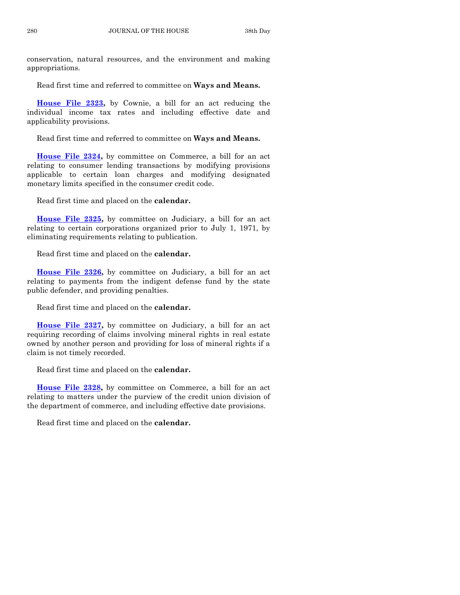conservation, natural resources, and the environment and making appropriations.

Read first time and referred to committee on **Ways and Means.**

**[House File 2323,](http://coolice.legis.iowa.gov/Cool-ICE/default.asp?Category=billinfo&Service=Billbook&frame=1&GA=85&hbill=HF2323)** by Cownie, a bill for an act reducing the individual income tax rates and including effective date and applicability provisions.

Read first time and referred to committee on **Ways and Means.**

**[House File 2324,](http://coolice.legis.iowa.gov/Cool-ICE/default.asp?Category=billinfo&Service=Billbook&frame=1&GA=85&hbill=HF2324)** by committee on Commerce, a bill for an act relating to consumer lending transactions by modifying provisions applicable to certain loan charges and modifying designated monetary limits specified in the consumer credit code.

Read first time and placed on the **calendar.**

**[House File 2325,](http://coolice.legis.iowa.gov/Cool-ICE/default.asp?Category=billinfo&Service=Billbook&frame=1&GA=85&hbill=HF2325)** by committee on Judiciary, a bill for an act relating to certain corporations organized prior to July 1, 1971, by eliminating requirements relating to publication.

Read first time and placed on the **calendar.**

**[House File 2326,](http://coolice.legis.iowa.gov/Cool-ICE/default.asp?Category=billinfo&Service=Billbook&frame=1&GA=85&hbill=HF2326)** by committee on Judiciary, a bill for an act relating to payments from the indigent defense fund by the state public defender, and providing penalties.

Read first time and placed on the **calendar.**

**[House File 2327,](http://coolice.legis.iowa.gov/Cool-ICE/default.asp?Category=billinfo&Service=Billbook&frame=1&GA=85&hbill=HF2327)** by committee on Judiciary, a bill for an act requiring recording of claims involving mineral rights in real estate owned by another person and providing for loss of mineral rights if a claim is not timely recorded.

Read first time and placed on the **calendar.**

**[House File 2328,](http://coolice.legis.iowa.gov/Cool-ICE/default.asp?Category=billinfo&Service=Billbook&frame=1&GA=85&hbill=HF2328)** by committee on Commerce, a bill for an act relating to matters under the purview of the credit union division of the department of commerce, and including effective date provisions.

Read first time and placed on the **calendar.**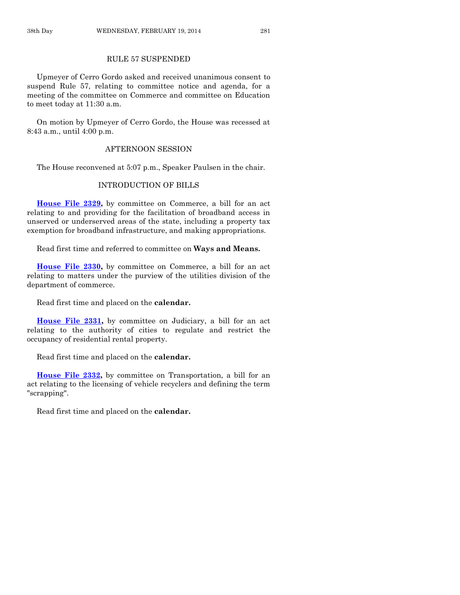#### RULE 57 SUSPENDED

Upmeyer of Cerro Gordo asked and received unanimous consent to suspend Rule 57, relating to committee notice and agenda, for a meeting of the committee on Commerce and committee on Education to meet today at 11:30 a.m.

On motion by Upmeyer of Cerro Gordo, the House was recessed at 8:43 a.m., until 4:00 p.m.

#### AFTERNOON SESSION

The House reconvened at 5:07 p.m., Speaker Paulsen in the chair.

#### INTRODUCTION OF BILLS

**[House File 2329,](http://coolice.legis.iowa.gov/Cool-ICE/default.asp?Category=billinfo&Service=Billbook&frame=1&GA=85&hbill=HF2329)** by committee on Commerce, a bill for an act relating to and providing for the facilitation of broadband access in unserved or underserved areas of the state, including a property tax exemption for broadband infrastructure, and making appropriations.

Read first time and referred to committee on **Ways and Means.**

**[House File 2330,](http://coolice.legis.iowa.gov/Cool-ICE/default.asp?Category=billinfo&Service=Billbook&frame=1&GA=85&hbill=HF2330)** by committee on Commerce, a bill for an act relating to matters under the purview of the utilities division of the department of commerce.

Read first time and placed on the **calendar.**

**[House File 2331,](http://coolice.legis.iowa.gov/Cool-ICE/default.asp?Category=billinfo&Service=Billbook&frame=1&GA=85&hbill=HF2331)** by committee on Judiciary, a bill for an act relating to the authority of cities to regulate and restrict the occupancy of residential rental property.

Read first time and placed on the **calendar.**

**[House File 2332,](http://coolice.legis.iowa.gov/Cool-ICE/default.asp?Category=billinfo&Service=Billbook&frame=1&GA=85&hbill=HF2332)** by committee on Transportation, a bill for an act relating to the licensing of vehicle recyclers and defining the term "scrapping".

Read first time and placed on the **calendar.**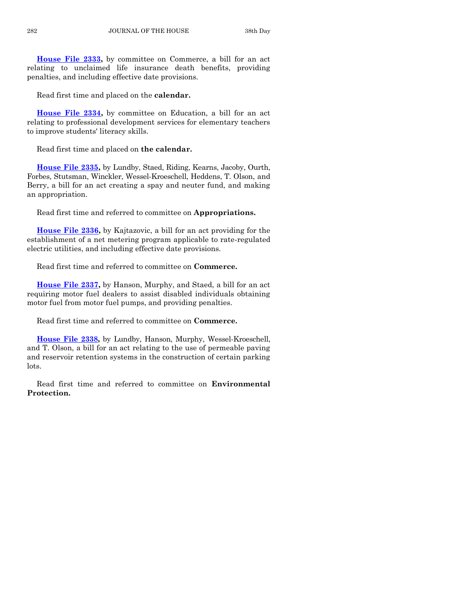**[House File 2333,](http://coolice.legis.iowa.gov/Cool-ICE/default.asp?Category=billinfo&Service=Billbook&frame=1&GA=85&hbill=HF2333)** by committee on Commerce, a bill for an act relating to unclaimed life insurance death benefits, providing penalties, and including effective date provisions.

Read first time and placed on the **calendar.**

**[House File 2334,](http://coolice.legis.iowa.gov/Cool-ICE/default.asp?Category=billinfo&Service=Billbook&frame=1&GA=85&hbill=HF2334)** by committee on Education, a bill for an act relating to professional development services for elementary teachers to improve students' literacy skills.

Read first time and placed on **the calendar.**

**[House File 2335,](http://coolice.legis.iowa.gov/Cool-ICE/default.asp?Category=billinfo&Service=Billbook&frame=1&GA=85&hbill=HF2335)** by Lundby, Staed, Riding, Kearns, Jacoby, Ourth, Forbes, Stutsman, Winckler, Wessel-Kroeschell, Heddens, T. Olson, and Berry, a bill for an act creating a spay and neuter fund, and making an appropriation.

Read first time and referred to committee on **Appropriations.**

**[House File 2336,](http://coolice.legis.iowa.gov/Cool-ICE/default.asp?Category=billinfo&Service=Billbook&frame=1&GA=85&hbill=HF2336)** by Kajtazovic, a bill for an act providing for the establishment of a net metering program applicable to rate-regulated electric utilities, and including effective date provisions.

Read first time and referred to committee on **Commerce.**

**[House File 2337,](http://coolice.legis.iowa.gov/Cool-ICE/default.asp?Category=billinfo&Service=Billbook&frame=1&GA=85&hbill=HF2337)** by Hanson, Murphy, and Staed, a bill for an act requiring motor fuel dealers to assist disabled individuals obtaining motor fuel from motor fuel pumps, and providing penalties.

Read first time and referred to committee on **Commerce.**

**[House File 2338,](http://coolice.legis.iowa.gov/Cool-ICE/default.asp?Category=billinfo&Service=Billbook&frame=1&GA=85&hbill=HF2338)** by Lundby, Hanson, Murphy, Wessel-Kroeschell, and T. Olson, a bill for an act relating to the use of permeable paving and reservoir retention systems in the construction of certain parking lots.

Read first time and referred to committee on **Environmental Protection.**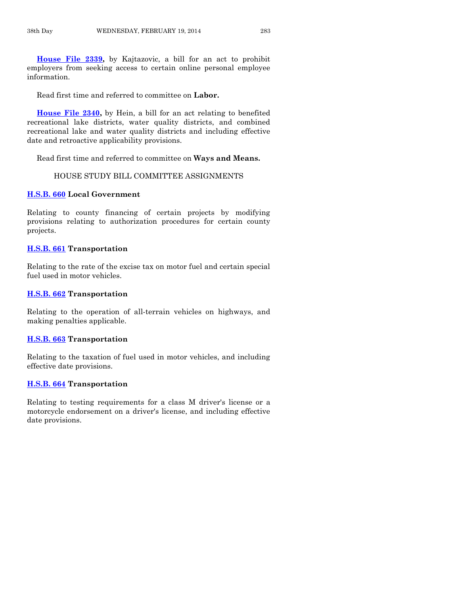**[House File 2339,](http://coolice.legis.iowa.gov/Cool-ICE/default.asp?Category=billinfo&Service=Billbook&frame=1&GA=85&hbill=HF2339)** by Kajtazovic, a bill for an act to prohibit employers from seeking access to certain online personal employee information.

Read first time and referred to committee on **Labor.**

**[House File 2340,](http://coolice.legis.iowa.gov/Cool-ICE/default.asp?Category=billinfo&Service=Billbook&frame=1&GA=85&hbill=HF2340)** by Hein, a bill for an act relating to benefited recreational lake districts, water quality districts, and combined recreational lake and water quality districts and including effective date and retroactive applicability provisions.

Read first time and referred to committee on **Ways and Means.**

#### HOUSE STUDY BILL COMMITTEE ASSIGNMENTS

#### **[H.S.B. 660](http://coolice.legis.iowa.gov/Cool-ICE/default.asp?Category=billinfo&Service=Billbook&frame=1&GA=85&hbill=HSB660) Local Government**

Relating to county financing of certain projects by modifying provisions relating to authorization procedures for certain county projects.

#### **[H.S.B. 661](http://coolice.legis.iowa.gov/Cool-ICE/default.asp?Category=billinfo&Service=Billbook&frame=1&GA=85&hbill=HSB661) Transportation**

Relating to the rate of the excise tax on motor fuel and certain special fuel used in motor vehicles.

#### **[H.S.B. 662](http://coolice.legis.iowa.gov/Cool-ICE/default.asp?Category=billinfo&Service=Billbook&frame=1&GA=85&hbill=HSB662) Transportation**

Relating to the operation of all-terrain vehicles on highways, and making penalties applicable.

#### **[H.S.B. 663](http://coolice.legis.iowa.gov/Cool-ICE/default.asp?Category=billinfo&Service=Billbook&frame=1&GA=85&hbill=HSB663) Transportation**

Relating to the taxation of fuel used in motor vehicles, and including effective date provisions.

#### **[H.S.B. 664](http://coolice.legis.iowa.gov/Cool-ICE/default.asp?Category=billinfo&Service=Billbook&frame=1&GA=85&hbill=HSB664) Transportation**

Relating to testing requirements for a class M driver's license or a motorcycle endorsement on a driver's license, and including effective date provisions.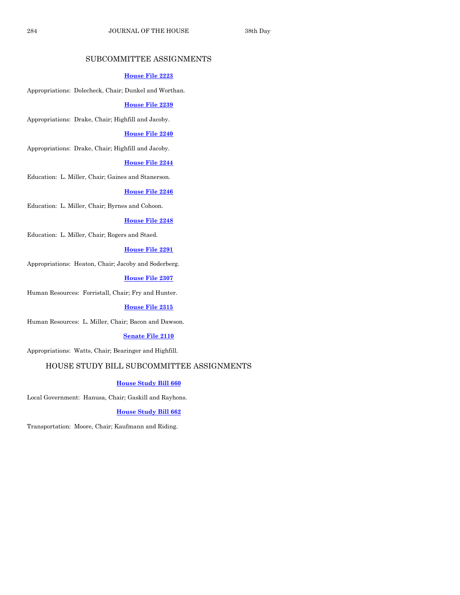#### SUBCOMMITTEE ASSIGNMENTS

#### **[House File 2223](http://coolice.legis.iowa.gov/Cool-ICE/default.asp?Category=billinfo&Service=Billbook&frame=1&GA=85&hbill=HF2223)**

Appropriations: Dolecheck, Chair; Dunkel and Worthan.

#### **[House File 2239](http://coolice.legis.iowa.gov/Cool-ICE/default.asp?Category=billinfo&Service=Billbook&frame=1&GA=85&hbill=HF2239)**

Appropriations: Drake, Chair; Highfill and Jacoby.

#### **[House File 2240](http://coolice.legis.iowa.gov/Cool-ICE/default.asp?Category=billinfo&Service=Billbook&frame=1&GA=85&hbill=HF2240)**

Appropriations: Drake, Chair; Highfill and Jacoby.

#### **[House File 2244](http://coolice.legis.iowa.gov/Cool-ICE/default.asp?Category=billinfo&Service=Billbook&frame=1&GA=85&hbill=HF2244)**

Education: L. Miller, Chair; Gaines and Stanerson.

#### **[House File 2246](http://coolice.legis.iowa.gov/Cool-ICE/default.asp?Category=billinfo&Service=Billbook&frame=1&GA=85&hbill=HF2246)**

Education: L. Miller, Chair; Byrnes and Cohoon.

#### **[House File 2248](http://coolice.legis.iowa.gov/Cool-ICE/default.asp?Category=billinfo&Service=Billbook&frame=1&GA=85&hbill=HF2248)**

Education: L. Miller, Chair; Rogers and Staed.

#### **[House File 2291](http://coolice.legis.iowa.gov/Cool-ICE/default.asp?Category=billinfo&Service=Billbook&frame=1&GA=85&hbill=HF2291)**

Appropriations: Heaton, Chair; Jacoby and Soderberg.

#### **[House File 2307](http://coolice.legis.iowa.gov/Cool-ICE/default.asp?Category=billinfo&Service=Billbook&frame=1&GA=85&hbill=HF2307)**

Human Resources: Forristall, Chair; Fry and Hunter.

#### **[House File 2315](http://coolice.legis.iowa.gov/Cool-ICE/default.asp?Category=billinfo&Service=Billbook&frame=1&GA=85&hbill=HF2315)**

Human Resources: L. Miller, Chair; Bacon and Dawson.

#### **[Senate File 2110](http://coolice.legis.iowa.gov/Cool-ICE/default.asp?Category=billinfo&Service=Billbook&frame=1&GA=85&hbill=SF2110)**

Appropriations: Watts, Chair; Bearinger and Highfill.

#### HOUSE STUDY BILL SUBCOMMITTEE ASSIGNMENTS

#### **[House Study Bill 660](http://coolice.legis.iowa.gov/Cool-ICE/default.asp?Category=billinfo&Service=Billbook&frame=1&GA=85&hbill=HSB660)**

Local Government: Hanusa, Chair; Gaskill and Rayhons.

#### **[House Study Bill 662](http://coolice.legis.iowa.gov/Cool-ICE/default.asp?Category=billinfo&Service=Billbook&frame=1&GA=85&hbill=HSB662)**

Transportation: Moore, Chair; Kaufmann and Riding.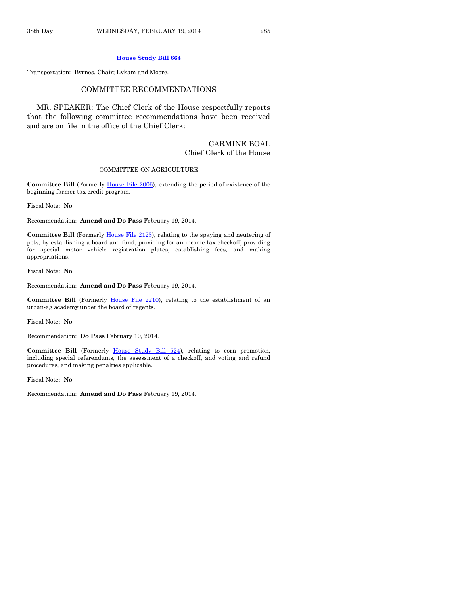#### **[House Study Bill 664](http://coolice.legis.iowa.gov/Cool-ICE/default.asp?Category=billinfo&Service=Billbook&frame=1&GA=85&hbill=HSB664)**

Transportation: Byrnes, Chair; Lykam and Moore.

#### COMMITTEE RECOMMENDATIONS

MR. SPEAKER: The Chief Clerk of the House respectfully reports that the following committee recommendations have been received and are on file in the office of the Chief Clerk:

#### CARMINE BOAL Chief Clerk of the House

#### COMMITTEE ON AGRICULTURE

**Committee Bill** (Formerly [House File 2006\)](http://coolice.legis.iowa.gov/Cool-ICE/default.asp?Category=billinfo&Service=Billbook&frame=1&GA=85&hbill=HF2006), extending the period of existence of the beginning farmer tax credit program.

Fiscal Note: **No**

Recommendation: **Amend and Do Pass** February 19, 2014.

**Committee Bill** (Formerly [House File 2123\)](http://coolice.legis.iowa.gov/Cool-ICE/default.asp?Category=billinfo&Service=Billbook&frame=1&GA=85&hbill=HF2123), relating to the spaying and neutering of pets, by establishing a board and fund, providing for an income tax checkoff, providing for special motor vehicle registration plates, establishing fees, and making appropriations.

Fiscal Note: **No**

Recommendation: **Amend and Do Pass** February 19, 2014.

Committee Bill (Formerly [House File 2210\)](http://coolice.legis.iowa.gov/Cool-ICE/default.asp?Category=billinfo&Service=Billbook&frame=1&GA=85&hbill=HF2210), relating to the establishment of an urban-ag academy under the board of regents.

Fiscal Note: **No**

Recommendation: **Do Pass** February 19, 2014.

**Committee Bill** (Formerly [House Study Bill 524\)](http://coolice.legis.iowa.gov/Cool-ICE/default.asp?Category=billinfo&Service=Billbook&frame=1&GA=85&hbill=HSB524), relating to corn promotion, including special referendums, the assessment of a checkoff, and voting and refund procedures, and making penalties applicable.

Fiscal Note: **No**

Recommendation: **Amend and Do Pass** February 19, 2014.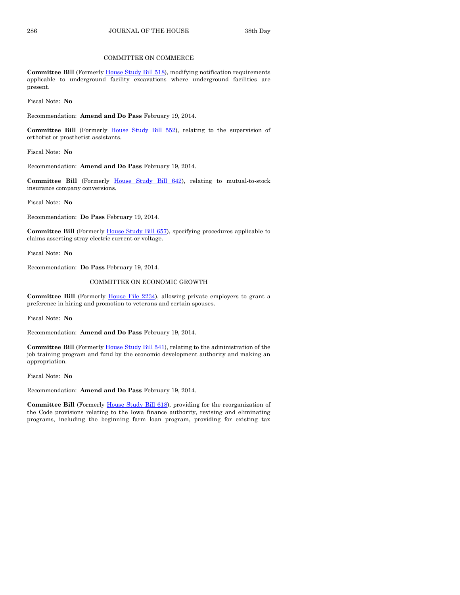#### COMMITTEE ON COMMERCE

**Committee Bill** (Formerl[y House Study Bill 518\),](http://coolice.legis.iowa.gov/Cool-ICE/default.asp?Category=billinfo&Service=Billbook&frame=1&GA=85&hbill=HSB518) modifying notification requirements applicable to underground facility excavations where underground facilities are present.

Fiscal Note: **No**

Recommendation: **Amend and Do Pass** February 19, 2014.

**Committee Bill** (Formerly [House Study Bill 552\)](http://coolice.legis.iowa.gov/Cool-ICE/default.asp?Category=billinfo&Service=Billbook&frame=1&GA=85&hbill=HSB552), relating to the supervision of orthotist or prosthetist assistants.

Fiscal Note: **No**

Recommendation: **Amend and Do Pass** February 19, 2014.

**Committee Bill** (Formerly [House Study Bill 642\)](http://coolice.legis.iowa.gov/Cool-ICE/default.asp?Category=billinfo&Service=Billbook&frame=1&GA=85&hbill=HSB642), relating to mutual-to-stock insurance company conversions.

Fiscal Note: **No**

Recommendation: **Do Pass** February 19, 2014.

**Committee Bill** (Formerly House [Study Bill 657\)](http://coolice.legis.iowa.gov/Cool-ICE/default.asp?Category=billinfo&Service=Billbook&frame=1&GA=85&hbill=HSB657), specifying procedures applicable to claims asserting stray electric current or voltage.

Fiscal Note: **No**

Recommendation: **Do Pass** February 19, 2014.

#### COMMITTEE ON ECONOMIC GROWTH

**Committee Bill** (Formerly [House File 2234\)](http://coolice.legis.iowa.gov/Cool-ICE/default.asp?Category=billinfo&Service=Billbook&frame=1&GA=85&hbill=HF2234), allowing private employers to grant a preference in hiring and promotion to veterans and certain spouses.

Fiscal Note: **No**

Recommendation: **Amend and Do Pass** February 19, 2014.

Committee Bill (Formerl[y House Study Bill 541\)](http://coolice.legis.iowa.gov/Cool-ICE/default.asp?Category=billinfo&Service=Billbook&frame=1&GA=85&hbill=HSB541), relating to the administration of the job training program and fund by the economic development authority and making an appropriation.

Fiscal Note: **No**

Recommendation: **Amend and Do Pass** February 19, 2014.

**Committee Bill** (Formerly [House Study Bill 618\)](http://coolice.legis.iowa.gov/Cool-ICE/default.asp?Category=billinfo&Service=Billbook&frame=1&GA=85&hbill=HSB618), providing for the reorganization of the Code provisions relating to the Iowa finance authority, revising and eliminating programs, including the beginning farm loan program, providing for existing tax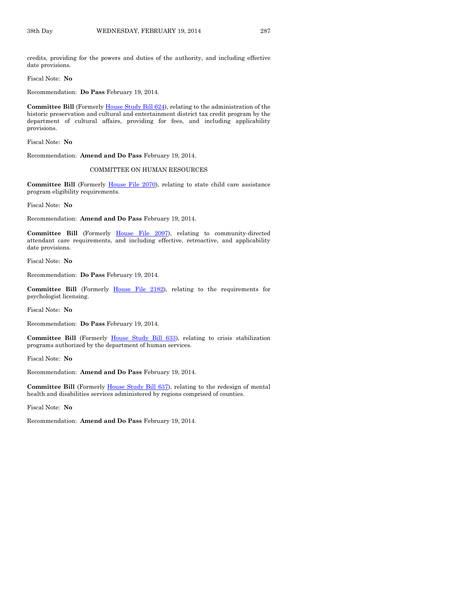credits, providing for the powers and duties of the authority, and including effective date provisions.

Fiscal Note: **No**

Recommendation: **Do Pass** February 19, 2014.

**Committee Bill** (Formerl[y House Study Bill 624\)](http://coolice.legis.iowa.gov/Cool-ICE/default.asp?Category=billinfo&Service=Billbook&frame=1&GA=85&hbill=HSB624), relating to the administration of the historic preservation and cultural and entertainment district tax credit program by the department of cultural affairs, providing for fees, and including applicability provisions.

Fiscal Note: **No**

Recommendation: **Amend and Do Pass** February 19, 2014.

#### COMMITTEE ON HUMAN RESOURCES

**Committee Bill** (Formerly [House File 2070\)](http://coolice.legis.iowa.gov/Cool-ICE/default.asp?Category=billinfo&Service=Billbook&frame=1&GA=85&hbill=HF2070), relating to state child care assistance program eligibility requirements.

Fiscal Note: **No**

Recommendation: **Amend and Do Pass** February 19, 2014.

**Committee Bill** (Formerly [House File 2097\)](http://coolice.legis.iowa.gov/Cool-ICE/default.asp?Category=billinfo&Service=Billbook&frame=1&GA=85&hbill=HF2097), relating to community-directed attendant care requirements, and including effective, retroactive, and applicability date provisions.

Fiscal Note: **No**

Recommendation: **Do Pass** February 19, 2014.

**Committee Bill** (Formerly [House File 2182\)](http://coolice.legis.iowa.gov/Cool-ICE/default.asp?Category=billinfo&Service=Billbook&frame=1&GA=85&hbill=HF2182), relating to the requirements for psychologist licensing.

Fiscal Note: **No**

Recommendation: **Do Pass** February 19, 2014.

Committee Bill (Formerly [House Study Bill 633\)](http://coolice.legis.iowa.gov/Cool-ICE/default.asp?Category=billinfo&Service=Billbook&frame=1&GA=85&hbill=HSB633), relating to crisis stabilization programs authorized by the department of human services.

Fiscal Note: **No**

Recommendation: **Amend and Do Pass** February 19, 2014.

**Committee Bill** (Formerly [House Study Bill 637\)](http://coolice.legis.iowa.gov/Cool-ICE/default.asp?Category=billinfo&Service=Billbook&frame=1&GA=85&hbill=HSB637), relating to the redesign of mental health and disabilities services administered by regions comprised of counties.

Fiscal Note: **No**

Recommendation: **Amend and Do Pass** February 19, 2014.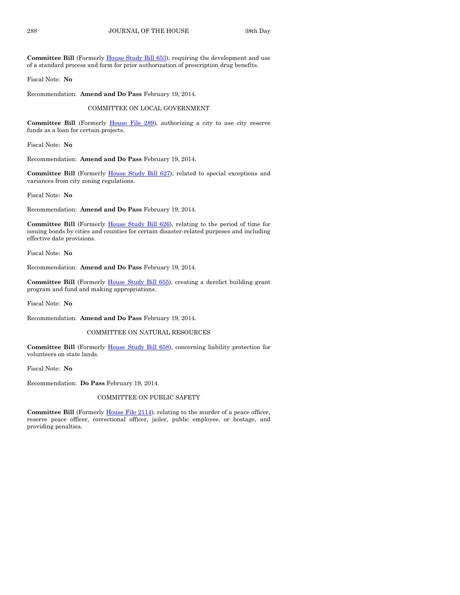Committee Bill (Formerly [House Study Bill 653\)](http://coolice.legis.iowa.gov/Cool-ICE/default.asp?Category=billinfo&Service=Billbook&frame=1&GA=85&hbill=HSB653), requiring the development and use of a standard process and form for prior authorization of prescription drug benefits.

Fiscal Note: **No**

Recommendation: **Amend and Do Pass** February 19, 2014.

COMMITTEE ON LOCAL GOVERNMENT

Committee Bill (Formerly [House File 289\)](http://coolice.legis.iowa.gov/Cool-ICE/default.asp?Category=billinfo&Service=Billbook&frame=1&GA=85&hbill=HF289), authorizing a city to use city reserve funds as a loan for certain projects.

Fiscal Note: **No**

Recommendation: **Amend and Do Pass** February 19, 2014.

Committee Bill (Formerly [House Study Bill 627\)](http://coolice.legis.iowa.gov/Cool-ICE/default.asp?Category=billinfo&Service=Billbook&frame=1&GA=85&hbill=HSB627), related to special exceptions and variances from city zoning regulations.

Fiscal Note: **No**

Recommendation: **Amend and Do Pass** February 19, 2014.

**Committee Bill** (Formerly [House Study Bill 626\)](http://coolice.legis.iowa.gov/Cool-ICE/default.asp?Category=billinfo&Service=Billbook&frame=1&GA=85&hbill=HSB626), relating to the period of time for issuing bonds by cities and counties for certain disaster-related purposes and including effective date provisions.

Fiscal Note: **No**

Recommendation: **Amend and Do Pass** February 19, 2014.

**Committee Bill** (Formerly [House Study Bill 655\)](http://coolice.legis.iowa.gov/Cool-ICE/default.asp?Category=billinfo&Service=Billbook&frame=1&GA=85&hbill=HSB655), creating a derelict building grant program and fund and making appropriations.

Fiscal Note: **No**

Recommendation: **Amend and Do Pass** February 19, 2014.

#### COMMITTEE ON NATURAL RESOURCES

**Committee Bill** (Formerly [House Study Bill 658\)](http://coolice.legis.iowa.gov/Cool-ICE/default.asp?Category=billinfo&Service=Billbook&frame=1&GA=85&hbill=HSB658), concerning liability protection for volunteers on state lands.

Fiscal Note: **No**

Recommendation: **Do Pass** February 19, 2014.

#### COMMITTEE ON PUBLIC SAFETY

**Committee Bill** (Formerly [House File 2114\)](http://coolice.legis.iowa.gov/Cool-ICE/default.asp?Category=billinfo&Service=Billbook&frame=1&GA=85&hbill=HF2114), relating to the murder of a peace officer, reserve peace officer, correctional officer, jailer, public employee, or hostage, and providing penalties.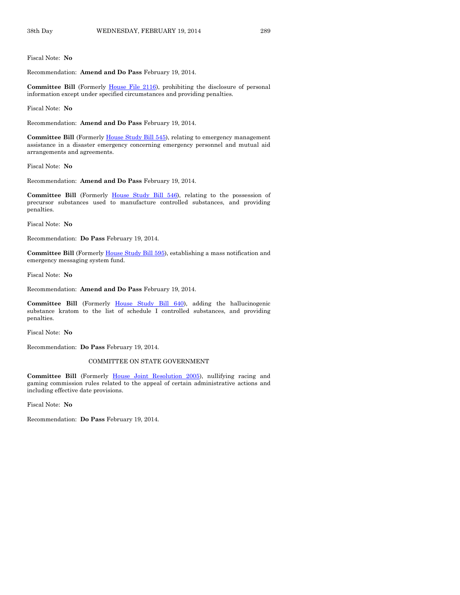Fiscal Note: **No**

Recommendation: **Amend and Do Pass** February 19, 2014.

**Committee Bill** (Formerly [House File 2116\)](http://coolice.legis.iowa.gov/Cool-ICE/default.asp?Category=billinfo&Service=Billbook&frame=1&GA=85&hbill=HF2116), prohibiting the disclosure of personal information except under specified circumstances and providing penalties.

Fiscal Note: **No**

Recommendation: **Amend and Do Pass** February 19, 2014.

Committee Bill (Formerly [House Study Bill 545\)](http://coolice.legis.iowa.gov/Cool-ICE/default.asp?Category=billinfo&Service=Billbook&frame=1&GA=85&hbill=HSB545), relating to emergency management assistance in a disaster emergency concerning emergency personnel and mutual aid arrangements and agreements.

Fiscal Note: **No**

Recommendation: **Amend and Do Pass** February 19, 2014.

Committee Bill (Formerly [House Study Bill 546\)](http://coolice.legis.iowa.gov/Cool-ICE/default.asp?Category=billinfo&Service=Billbook&frame=1&GA=85&hbill=HSB546), relating to the possession of precursor substances used to manufacture controlled substances, and providing penalties.

Fiscal Note: **No**

Recommendation: **Do Pass** February 19, 2014.

**Committee Bill** (Formerl[y House Study Bill 595\)](http://coolice.legis.iowa.gov/Cool-ICE/default.asp?Category=billinfo&Service=Billbook&frame=1&GA=85&hbill=HSB595), establishing a mass notification and emergency messaging system fund.

Fiscal Note: **No**

Recommendation: **Amend and Do Pass** February 19, 2014.

**Committee Bill** (Formerly [House Study Bill 640\)](http://coolice.legis.iowa.gov/Cool-ICE/default.asp?Category=billinfo&Service=Billbook&frame=1&GA=85&hbill=HSB640), adding the hallucinogenic substance kratom to the list of schedule I controlled substances, and providing penalties.

Fiscal Note: **No**

Recommendation: **Do Pass** February 19, 2014.

#### COMMITTEE ON STATE GOVERNMENT

**Committee Bill** (Formerly [House Joint Resolution 2005\)](http://coolice.legis.iowa.gov/Cool-ICE/default.asp?Category=billinfo&Service=Billbook&frame=1&GA=85&hbill=HJR2005), nullifying racing and gaming commission rules related to the appeal of certain administrative actions and including effective date provisions.

Fiscal Note: **No**

Recommendation: **Do Pass** February 19, 2014.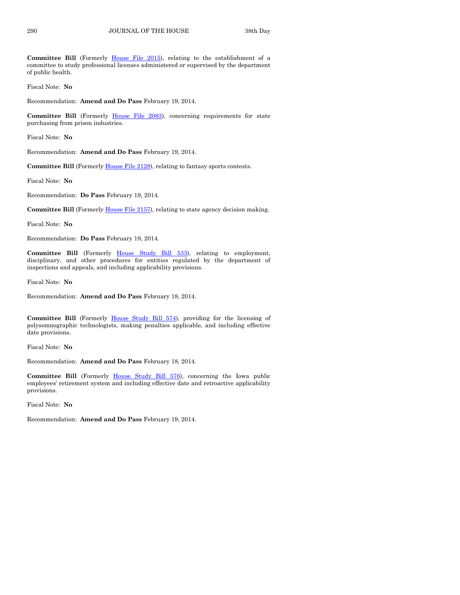**Committee Bill** (Formerly [House File 2015\)](http://coolice.legis.iowa.gov/Cool-ICE/default.asp?Category=billinfo&Service=Billbook&frame=1&GA=85&hbill=HF2015), relating to the establishment of a committee to study professional licenses administered or supervised by the department of public health.

Fiscal Note: **No**

Recommendation: **Amend and Do Pass** February 19, 2014.

**Committee Bill** (Formerly [House File 2083\)](http://coolice.legis.iowa.gov/Cool-ICE/default.asp?Category=billinfo&Service=Billbook&frame=1&GA=85&hbill=HF2083), concerning requirements for state purchasing from prison industries.

Fiscal Note: **No**

Recommendation: **Amend and Do Pass** February 19, 2014.

**Committee Bill** (Formerly [House File 2128\)](http://coolice.legis.iowa.gov/Cool-ICE/default.asp?Category=billinfo&Service=Billbook&frame=1&GA=85&hbill=HF2128), relating to fantasy sports contests.

Fiscal Note: **No**

Recommendation: **Do Pass** February 19, 2014.

**Committee Bill** (Formerly [House File 2157\)](http://coolice.legis.iowa.gov/Cool-ICE/default.asp?Category=billinfo&Service=Billbook&frame=1&GA=85&hbill=HF2157), relating to state agency decision making.

Fiscal Note: **No**

Recommendation: **Do Pass** February 19, 2014.

**Committee Bill** (Formerly [House Study Bill 533\)](http://coolice.legis.iowa.gov/Cool-ICE/default.asp?Category=billinfo&Service=Billbook&frame=1&GA=85&hbill=HSB533), relating to employment, disciplinary, and other procedures for entities regulated by the department of inspections and appeals, and including applicability provisions.

Fiscal Note: **No**

Recommendation: **Amend and Do Pass** February 18, 2014.

**Committee Bill** (Formerly [House Study Bill 574\)](http://coolice.legis.iowa.gov/Cool-ICE/default.asp?Category=billinfo&Service=Billbook&frame=1&GA=85&hbill=HSB574), providing for the licensing of polysomnographic technologists, making penalties applicable, and including effective date provisions.

Fiscal Note: **No**

Recommendation: **Amend and Do Pass** February 18, 2014.

**Committee Bill** (Formerly [House Study Bill 576\)](http://coolice.legis.iowa.gov/Cool-ICE/default.asp?Category=billinfo&Service=Billbook&frame=1&GA=85&hbill=HSB576), concerning the Iowa public employees' retirement system and including effective date and retroactive applicability provisions.

Fiscal Note: **No**

Recommendation: **Amend and Do Pass** February 19, 2014.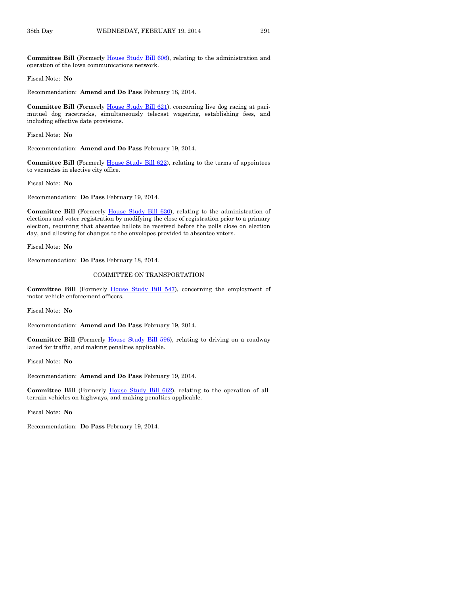Committee Bill (Formerly [House Study Bill 606\)](http://coolice.legis.iowa.gov/Cool-ICE/default.asp?Category=billinfo&Service=Billbook&frame=1&GA=85&hbill=HSB606), relating to the administration and operation of the Iowa communications network.

Fiscal Note: **No**

Recommendation: **Amend and Do Pass** February 18, 2014.

**Committee Bill** (Formerly [House Study Bill 621\)](http://coolice.legis.iowa.gov/Cool-ICE/default.asp?Category=billinfo&Service=Billbook&frame=1&GA=85&hbill=HSB621), concerning live dog racing at parimutuel dog racetracks, simultaneously telecast wagering, establishing fees, and including effective date provisions.

Fiscal Note: **No**

Recommendation: **Amend and Do Pass** February 19, 2014.

**Committee Bill** (Formerly [House Study Bill 622\)](http://coolice.legis.iowa.gov/Cool-ICE/default.asp?Category=billinfo&Service=Billbook&frame=1&GA=85&hbill=HSB622), relating to the terms of appointees to vacancies in elective city office.

Fiscal Note: **No**

Recommendation: **Do Pass** February 19, 2014.

**Committee Bill** (Formerly [House Study Bill 630\)](http://coolice.legis.iowa.gov/Cool-ICE/default.asp?Category=billinfo&Service=Billbook&frame=1&GA=85&hbill=HSB630), relating to the administration of elections and voter registration by modifying the close of registration prior to a primary election, requiring that absentee ballots be received before the polls close on election day, and allowing for changes to the envelopes provided to absentee voters.

Fiscal Note: **No**

Recommendation: **Do Pass** February 18, 2014.

#### COMMITTEE ON TRANSPORTATION

**Committee Bill** (Formerly [House Study Bill 547\)](http://coolice.legis.iowa.gov/Cool-ICE/default.asp?Category=billinfo&Service=Billbook&frame=1&GA=85&hbill=HSB547), concerning the employment of motor vehicle enforcement officers.

Fiscal Note: **No**

Recommendation: **Amend and Do Pass** February 19, 2014.

Committee Bill (Formerly [House Study Bill 596\)](http://coolice.legis.iowa.gov/Cool-ICE/default.asp?Category=billinfo&Service=Billbook&frame=1&GA=85&hbill=HSB596), relating to driving on a roadway laned for traffic, and making penalties applicable.

Fiscal Note: **No**

Recommendation: **Amend and Do Pass** February 19, 2014.

**Committee Bill** (Formerly [House Study Bill 662\)](http://coolice.legis.iowa.gov/Cool-ICE/default.asp?Category=billinfo&Service=Billbook&frame=1&GA=85&hbill=HSB662), relating to the operation of allterrain vehicles on highways, and making penalties applicable.

Fiscal Note: **No**

Recommendation: **Do Pass** February 19, 2014.